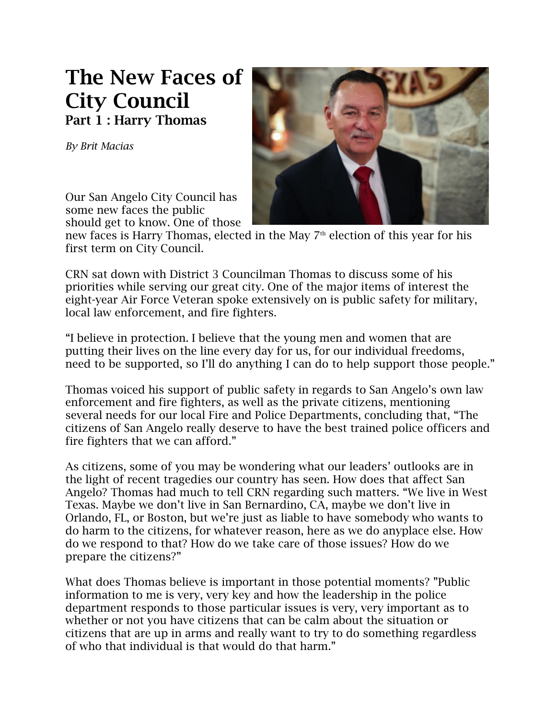## **The New Faces of City Council Part 1 : Harry Thomas**

*By Brit Macias*



Our San Angelo City Council has some new faces the public should get to know. One of those

new faces is Harry Thomas, elected in the May  $7<sup>th</sup>$  election of this year for his first term on City Council.

CRN sat down with District 3 Councilman Thomas to discuss some of his priorities while serving our great city. One of the major items of interest the eight-year Air Force Veteran spoke extensively on is public safety for military, local law enforcement, and fire fighters.

"I believe in protection. I believe that the young men and women that are putting their lives on the line every day for us, for our individual freedoms, need to be supported, so I'll do anything I can do to help support those people."

Thomas voiced his support of public safety in regards to San Angelo's own law enforcement and fire fighters, as well as the private citizens, mentioning several needs for our local Fire and Police Departments, concluding that, "The citizens of San Angelo really deserve to have the best trained police officers and fire fighters that we can afford."

As citizens, some of you may be wondering what our leaders' outlooks are in the light of recent tragedies our country has seen. How does that affect San Angelo? Thomas had much to tell CRN regarding such matters. "We live in West Texas. Maybe we don't live in San Bernardino, CA, maybe we don't live in Orlando, FL, or Boston, but we're just as liable to have somebody who wants to do harm to the citizens, for whatever reason, here as we do anyplace else. How do we respond to that? How do we take care of those issues? How do we prepare the citizens?"

What does Thomas believe is important in those potential moments? "Public information to me is very, very key and how the leadership in the police department responds to those particular issues is very, very important as to whether or not you have citizens that can be calm about the situation or citizens that are up in arms and really want to try to do something regardless of who that individual is that would do that harm."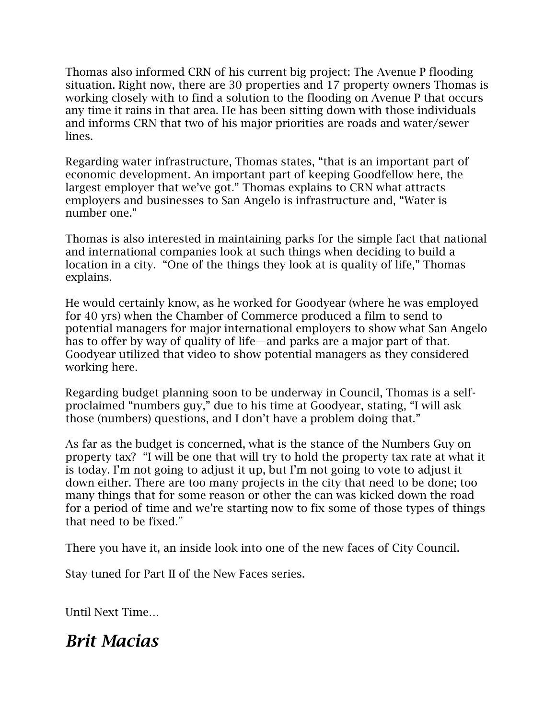Thomas also informed CRN of his current big project: The Avenue P flooding situation. Right now, there are 30 properties and 17 property owners Thomas is working closely with to find a solution to the flooding on Avenue P that occurs any time it rains in that area. He has been sitting down with those individuals and informs CRN that two of his major priorities are roads and water/sewer lines.

Regarding water infrastructure, Thomas states, "that is an important part of economic development. An important part of keeping Goodfellow here, the largest employer that we've got." Thomas explains to CRN what attracts employers and businesses to San Angelo is infrastructure and, "Water is number one."

Thomas is also interested in maintaining parks for the simple fact that national and international companies look at such things when deciding to build a location in a city. "One of the things they look at is quality of life," Thomas explains.

He would certainly know, as he worked for Goodyear (where he was employed for 40 yrs) when the Chamber of Commerce produced a film to send to potential managers for major international employers to show what San Angelo has to offer by way of quality of life—and parks are a major part of that. Goodyear utilized that video to show potential managers as they considered working here.

Regarding budget planning soon to be underway in Council, Thomas is a selfproclaimed "numbers guy," due to his time at Goodyear, stating, "I will ask those (numbers) questions, and I don't have a problem doing that."

As far as the budget is concerned, what is the stance of the Numbers Guy on property tax? "I will be one that will try to hold the property tax rate at what it is today. I'm not going to adjust it up, but I'm not going to vote to adjust it down either. There are too many projects in the city that need to be done; too many things that for some reason or other the can was kicked down the road for a period of time and we're starting now to fix some of those types of things that need to be fixed."

There you have it, an inside look into one of the new faces of City Council.

Stay tuned for Part II of the New Faces series.

Until Next Time…

## *Brit Macias*